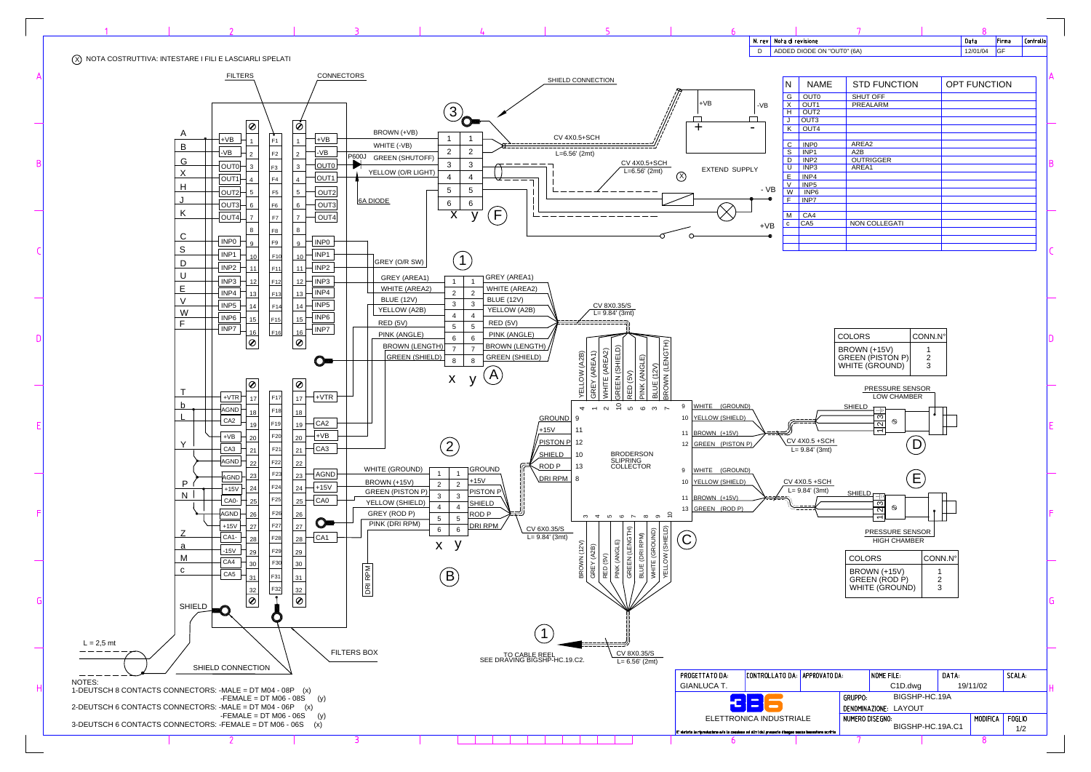|                       | 7                                                     |               |       | 8                   |       |                      |
|-----------------------|-------------------------------------------------------|---------------|-------|---------------------|-------|----------------------|
|                       |                                                       |               |       | Data                | Firma | Controllo            |
|                       | V "OUT0" (6A)                                         |               |       | 12/01/04            | GF    |                      |
|                       |                                                       |               |       |                     |       |                      |
| ΊE                    | <b>STD FUNCTION</b>                                   |               |       | <b>OPT FUNCTION</b> |       |                      |
|                       | <b>SHUT OFF</b><br><b>PREALARM</b>                    |               |       |                     |       |                      |
|                       |                                                       |               |       |                     |       |                      |
|                       |                                                       |               |       |                     |       |                      |
|                       | AREA2                                                 |               |       |                     |       |                      |
|                       | A2B                                                   |               |       |                     |       |                      |
|                       | <b>OUTRIGGER</b><br>AREA1                             |               |       |                     |       | B                    |
|                       |                                                       |               |       |                     |       |                      |
|                       |                                                       |               |       |                     |       |                      |
|                       |                                                       |               |       |                     |       |                      |
|                       | NON COLLEGATI                                         |               |       |                     |       |                      |
|                       |                                                       |               |       |                     |       |                      |
|                       |                                                       |               |       |                     |       |                      |
|                       |                                                       |               |       |                     |       |                      |
|                       |                                                       |               |       |                     |       |                      |
|                       |                                                       |               |       |                     |       |                      |
|                       |                                                       |               |       |                     |       |                      |
|                       |                                                       |               |       |                     |       |                      |
|                       |                                                       |               |       |                     |       |                      |
|                       | <b>COLORS</b>                                         | CONN.N°       |       |                     |       | l)                   |
|                       | BROWN (+15V)                                          | 1<br>2        |       |                     |       |                      |
|                       | GREEN (PISTÓN P)<br>WHITE (GROUND)                    | 3             |       |                     |       |                      |
|                       |                                                       |               |       |                     |       |                      |
|                       | PRESSURE SENSOR<br><b>LOW CHAMBER</b>                 |               |       |                     |       |                      |
|                       | <b>SHIELD</b>                                         |               |       |                     |       |                      |
|                       | <u>က</u><br>$\circledcirc$<br>$\overline{\mathsf{a}}$ |               |       |                     |       | E                    |
|                       | ۰                                                     |               |       |                     |       |                      |
| iCH<br>nt)            |                                                       |               |       |                     |       |                      |
|                       |                                                       |               |       |                     |       |                      |
|                       |                                                       |               |       |                     |       |                      |
| $\frac{2H}{2}$<br>ıt) |                                                       |               |       |                     |       |                      |
|                       | <u>SHIELD i</u>                                       |               |       |                     |       |                      |
|                       | $2\overline{3}$<br>$^{\circ}$                         |               |       |                     |       | F                    |
|                       | <b>PRESSURE SENSOR</b>                                |               |       |                     |       |                      |
|                       | <b>HIGH CHAMBER</b>                                   |               |       |                     |       |                      |
|                       | COLORS                                                | CONN.Nº       |       |                     |       |                      |
|                       | BROWN (+15V)                                          | 1             |       |                     |       |                      |
|                       | GREEN (ROD P)<br>WHITE (GROUND)                       | $\frac{2}{3}$ |       |                     |       |                      |
|                       |                                                       |               |       |                     |       |                      |
|                       |                                                       |               |       |                     |       | G                    |
|                       |                                                       |               |       |                     |       |                      |
|                       |                                                       |               |       |                     |       |                      |
|                       |                                                       |               |       |                     |       |                      |
|                       |                                                       |               |       |                     |       |                      |
| ATO DA:               | NOME FILE:                                            |               | DATA: |                     |       | SCALA:               |
|                       | C1D.dwg                                               |               |       | 19/11/02            |       | Н                    |
|                       | BIGSHP-HC.19A<br>GRUPPO:                              |               |       |                     |       |                      |
|                       | DENOMINAZIONE: LAYOUT                                 |               |       |                     |       |                      |
|                       |                                                       |               |       |                     |       |                      |
| scritte               | NUMERO DISEGNO:<br>BIGSHP-HC.19A.C1                   |               |       | <b>MODIFICA</b>     |       | <b>FOGLIO</b><br>1/2 |